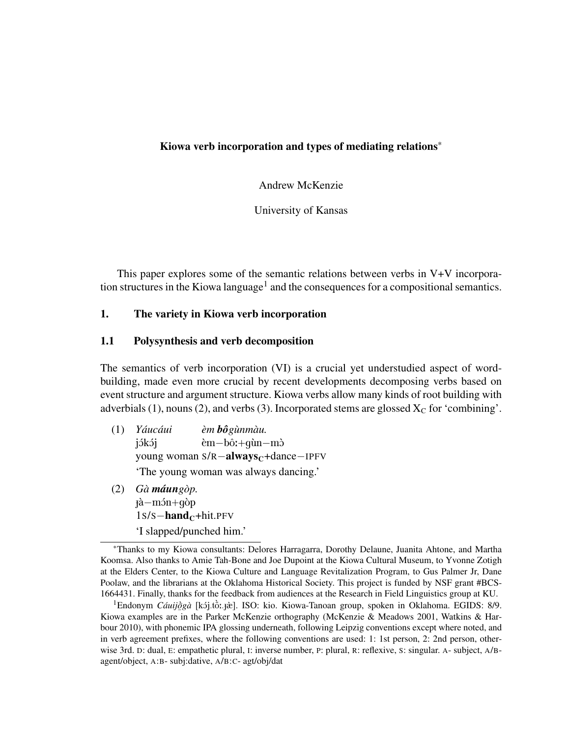#### Kiowa verb incorporation and types of mediating relations\*

Andrew McKenzie

University of Kansas

This paper explores some of the semantic relations between verbs in V+V incorporation structures in the Kiowa language<sup>1</sup> and the consequences for a compositional semantics.

## 1. The variety in Kiowa verb incorporation

#### 1.1 Polysynthesis and verb decomposition

The semantics of verb incorporation (VI) is a crucial yet understudied aspect of wordbuilding, made even more crucial by recent developments decomposing verbs based on event structure and argument structure. Kiowa verbs allow many kinds of root building with adverbials (1), nouns (2), and verbs (3). Incorporated stems are glossed  $X_C$  for 'combining'.

- (1) *Yauc ´ aui ´* jókój young woman S/R-always<sub>C</sub>+dance−IPFV *em` boˆgunm ` au. `* èm−bô:+qùn−mò 'The young woman was always dancing.'
- $(2)$  *Gà máun gòp*. é`a−m´On+g`op  $1s/s$ −hand<sub>C</sub>+hit.PFV 'I slapped/punched him.'

<sup>1</sup> Endonym *Cáuijõgà* [kój.tồː.jæ]. ISO: kio. Kiowa-Tanoan group, spoken in Oklahoma. EGIDS: 8/9. ¯ Kiowa examples are in the Parker McKenzie orthography (McKenzie & Meadows 2001, Watkins & Harbour 2010), with phonemic IPA glossing underneath, following Leipzig conventions except where noted, and in verb agreement prefixes, where the following conventions are used: 1: 1st person, 2: 2nd person, otherwise 3rd. D: dual, E: empathetic plural, I: inverse number, P: plural, R: reflexive, S: singular. A- subject, A/Bagent/object, A:B- subj:dative, A/B:C- agt/obj/dat

<sup>\*</sup>Thanks to my Kiowa consultants: Delores Harragarra, Dorothy Delaune, Juanita Ahtone, and Martha Koomsa. Also thanks to Amie Tah-Bone and Joe Dupoint at the Kiowa Cultural Museum, to Yvonne Zotigh at the Elders Center, to the Kiowa Culture and Language Revitalization Program, to Gus Palmer Jr, Dane Poolaw, and the librarians at the Oklahoma Historical Society. This project is funded by NSF grant #BCS-1664431. Finally, thanks for the feedback from audiences at the Research in Field Linguistics group at KU.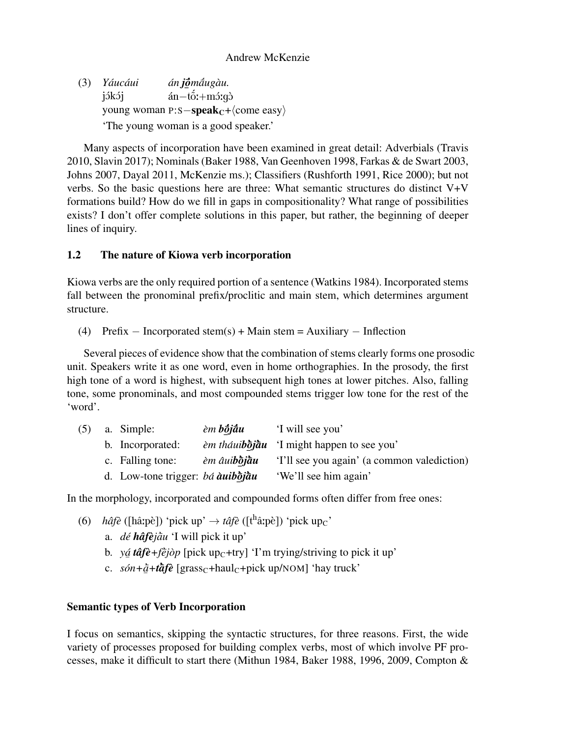(3) *Yauc ´ aui ´* jókój young woman p:s−**speak**<sub>C</sub>+ $\langle$ come easy $\rangle$ *án jỗmá́ugàu.* …<br>án−tố:+mɔ́ːgɔ̀ 'The young woman is a good speaker.'

Many aspects of incorporation have been examined in great detail: Adverbials (Travis 2010, Slavin 2017); Nominals (Baker 1988, Van Geenhoven 1998, Farkas & de Swart 2003, Johns 2007, Dayal 2011, McKenzie ms.); Classifiers (Rushforth 1991, Rice 2000); but not verbs. So the basic questions here are three: What semantic structures do distinct V+V formations build? How do we fill in gaps in compositionality? What range of possibilities exists? I don't offer complete solutions in this paper, but rather, the beginning of deeper lines of inquiry.

# 1.2 The nature of Kiowa verb incorporation

Kiowa verbs are the only required portion of a sentence (Watkins 1984). Incorporated stems fall between the pronominal prefix/proclitic and main stem, which determines argument structure.

(4) Prefix – Incorporated stem(s) + Main stem = Auxiliary – Inflection

Several pieces of evidence show that the combination of stems clearly forms one prosodic unit. Speakers write it as one word, even in home orthographies. In the prosody, the first high tone of a word is highest, with subsequent high tones at lower pitches. Also, falling tone, some pronominals, and most compounded stems trigger low tone for the rest of the 'word'.

| (5) | a. Simple:                       | èm <b>bōjāu</b>     | 'I will see you'                                 |
|-----|----------------------------------|---------------------|--------------------------------------------------|
|     | b. Incorporated:                 |                     | <i>em tháuibojau</i> 'I might happen to see you' |
|     | c. Falling tone:                 | èm âui <b>bòjàu</b> | 'I'll see you again' (a common valediction)      |
|     | d. Low-tone trigger: bá àuibojau |                     | 'We'll see him again'                            |
|     |                                  |                     |                                                  |

In the morphology, incorporated and compounded forms often differ from free ones:

- (6) *hâfè* ([hâ:pè]) 'pick up'  $\rightarrow$  *tâfè* ([t<sup>h</sup>â:pè]) 'pick up<sub>C</sub>'
	- a. *dé hâfèjau* 'I will pick it up'
	- b. *ya´ tafˆ e`+f*¯*ej* ` *op`* [pick upC+try] 'I'm trying/striving to pick it up'
	- $\frac{1}{2}$   $\frac{1}{2}$   $\frac{1}{2}$   $\frac{1}{2}$   $\frac{1}{2}$  $\vec{a}$ +*t* $\vec{a}$ *f* $\vec{e}$  [grass<sub>C</sub>+haul<sub>C</sub>+pick up/NOM] 'hay truck'

# Semantic types of Verb Incorporation

I focus on semantics, skipping the syntactic structures, for three reasons. First, the wide variety of processes proposed for building complex verbs, most of which involve PF processes, make it difficult to start there (Mithun 1984, Baker 1988, 1996, 2009, Compton &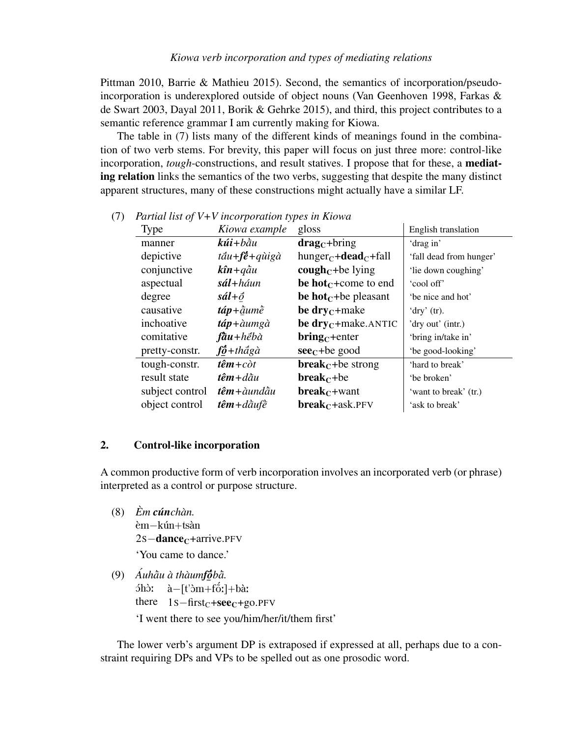Pittman 2010, Barrie & Mathieu 2015). Second, the semantics of incorporation/pseudoincorporation is underexplored outside of object nouns (Van Geenhoven 1998, Farkas & de Swart 2003, Dayal 2011, Borik & Gehrke 2015), and third, this project contributes to a semantic reference grammar I am currently making for Kiowa.

The table in (7) lists many of the different kinds of meanings found in the combination of two verb stems. For brevity, this paper will focus on just three more: control-like incorporation, *tough*-constructions, and result statives. I propose that for these, a mediating relation links the semantics of the two verbs, suggesting that despite the many distinct apparent structures, many of these constructions might actually have a similar LF.

| Type            | Kiowa example                                             | gloss                                             | English translation     |
|-----------------|-----------------------------------------------------------|---------------------------------------------------|-------------------------|
| manner          | $k$ úi+ $b$ àu                                            | $dragC+bring$                                     | 'drag in'               |
| depictive       | $t \tilde{a} u + f \tilde{e} + q \tilde{u} i g \tilde{a}$ | $hunger_C + dead_C + fall$                        | 'fall dead from hunger' |
| conjunctive     | $k\hat{\imath}n + q\hat{a}u$                              | cough <sub><math>C</math></sub> +be lying         | 'lie down coughing'     |
| aspectual       | $s$ ál+háun                                               | be hot $_{C}$ +come to end                        | 'cool off'              |
| degree          | $s\acute{a}l+\acute{o}$                                   | be hot $_{C}$ +be pleasant                        | 'be nice and hot'       |
| causative       | $t$ áp + $\tilde{a}$ um $\tilde{e}$                       | be $\text{dry}_C + \text{make}$                   | 'dry' $(tr)$ .          |
| inchoative      | $t$ áp+àumgà                                              | be $\text{dry}_C + \text{make}$ . ANTIC           | 'dry out' (intr.)       |
| comitative      | $\hbar\bar{a}u + h\acute{e}b\grave{a}$                    | $\text{bring}_{\text{C}}$ +enter                  | 'bring in/take in'      |
| pretty-constr.  | $f\ddot{\theta} + th\ddot{a}g\ddot{a}$                    | $\sec$ <sub>C</sub> +be good                      | 'be good-looking'       |
| tough-constr.   | $t\hat{e}m+c\grave{o}t$                                   | <b>break</b> <sub><math>C</math></sub> +be strong | 'hard to break'         |
| result state    | $t\hat{e}m + d\tilde{a}u$                                 | $break_C + be$                                    | 'be broken'             |
| subject control | $t\hat{e}m + \hat{a}und\hat{a}u$                          | <b>break</b> $c$ +want                            | 'want to break' (tr.)   |
| object control  | $t\hat{e}m + d\hat{a}$ uf $\hat{e}$                       | <b>break</b> <sub><math>C</math></sub> +ask.PFV   | 'ask to break'          |
|                 |                                                           |                                                   |                         |

(7) *Partial list of V+V incorporation types in Kiowa*

### 2. Control-like incorporation

A common productive form of verb incorporation involves an incorporated verb (or phrase) interpreted as a control or purpose structure.

- $(8)$   $\dot{E}$ *m cúnchàn.* èm−kún+tsàn  $2s$  – dance<sub>c</sub>+arrive.PFV 'You came to dance.'
- (9) Áuhàu à thàumfóbà.  $5$ hòː there  $1s$ -first<sub>C</sub>+see<sub>C</sub>+go.PFV  $\hat{a}$ -[t' $\hat{c}$ m+f $\hat{c}$ :]+bà: 'I went there to see you/him/her/it/them first'

The lower verb's argument DP is extraposed if expressed at all, perhaps due to a constraint requiring DPs and VPs to be spelled out as one prosodic word.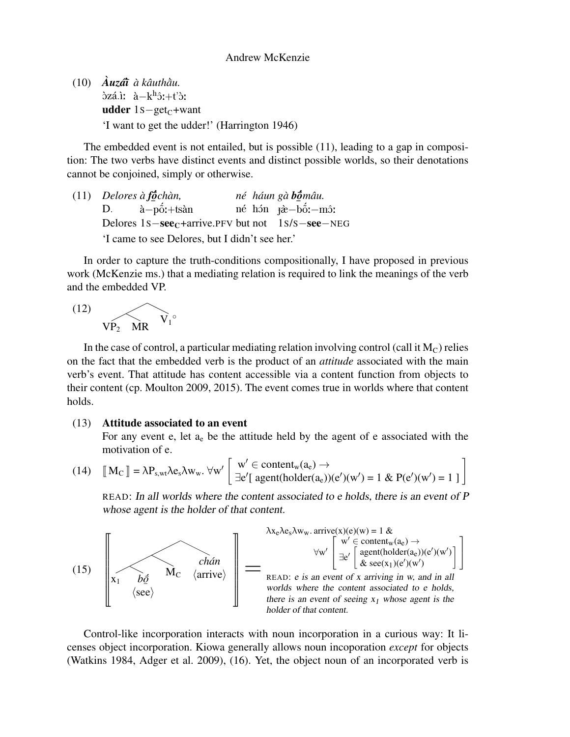(10) *Auz ` a´*¯`*ı a k ` auth ˆ au.* ¯` òzá.ìː à−kʰôː+t'òː udder 1s−get<sub>C</sub>+want 'I want to get the udder!' (Harrington 1946)

The embedded event is not entailed, but is possible (11), leading to a gap in composition: The two verbs have distinct events and distinct possible worlds, so their denotations cannot be conjoined, simply or otherwise.

(11) *Delores* D. Delores 1s – see<sub>C</sub>+arrive.PFV but not 1s/s – see – NEG *a` f*¯*o*´ ¯ *chan, `* à−pốː+tsàn *ne´*  $n\acute{e}$ *haun ´* hón *ga` b*¯*o*´ –ّ<br>م⊺ *mau. ˆ* jæ̀−bố́:−môː 'I came to see Delores, but I didn't see her.'

In order to capture the truth-conditions compositionally, I have proposed in previous work (McKenzie ms.) that a mediating relation is required to link the meanings of the verb and the embedded VP.

$$
(12)\quad \text{VP}_2 \quad \text{MR} \quad \text{V}_1^{\circ}
$$

In the case of control, a particular mediating relation involving control (call it  $M<sub>C</sub>$ ) relies on the fact that the embedded verb is the product of an *attitude* associated with the main verb's event. That attitude has content accessible via a content function from objects to their content (cp. Moulton 2009, 2015). The event comes true in worlds where that content holds.

#### (13) Attitude associated to an event

For any event e, let  $a_e$  be the attitude held by the agent of e associated with the motivation of e.

$$
(14) \quad [\![M_C]\!] = \lambda P_{s, wt} \lambda e_s \lambda w_w. \ \forall w' \left[\begin{array}{l} w' \in content_w(a_e) \to \\ \exists e' [\text{ agent(holder}(a_e))(e')(w') = 1 \ \& \ P(e')(w') = 1 \ ]\end{array}\right]
$$

READ: In all worlds where the content associated to e holds, there is an event of P whose agent is the holder of that content.



Control-like incorporation interacts with noun incorporation in a curious way: It licenses object incorporation. Kiowa generally allows noun incoporation *except* for objects (Watkins 1984, Adger et al. 2009), (16). Yet, the object noun of an incorporated verb is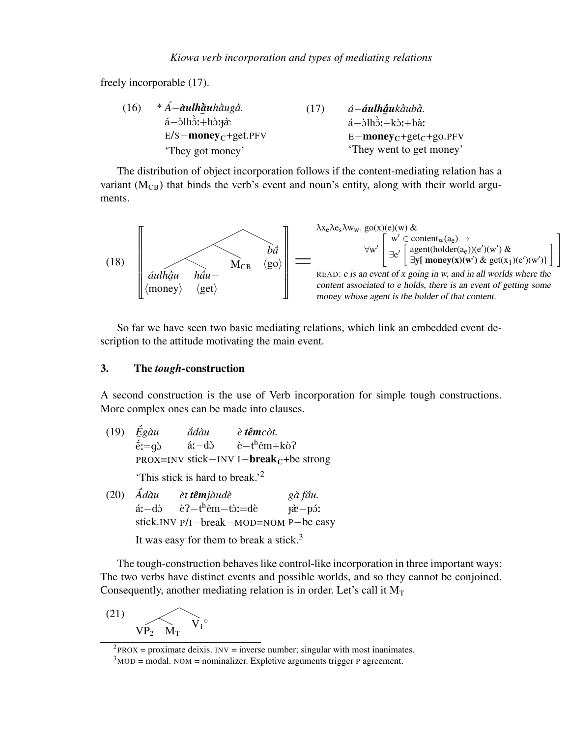#### *Kiowa verb incorporation and types of mediating relations*

freely incorporable (17).

| (16) | $*A$ —àulhàuhàugà.                                   | (17) | á– <b>áulhāu</b> kāubā.                                                     |
|------|------------------------------------------------------|------|-----------------------------------------------------------------------------|
|      | $a-\delta$ lh $\tilde{o}$ :+h $\delta$ : $\tilde{a}$ |      | $\acute{a}$ - $\frac{\partial \ln \delta}{\partial x}$ +k $\grave{b}$ :+bà: |
|      | $E/S$ – money <sub>C</sub> +get.PFV                  |      | $E$ – money <sub>C</sub> +get <sub>C</sub> +go.PFV                          |
|      | 'They got money'                                     |      | 'They went to get money'                                                    |

The distribution of object incorporation follows if the content-mediating relation has a variant  $(M<sub>CB</sub>)$  that binds the verb's event and noun's entity, along with their world arguments.



So far we have seen two basic mediating relations, which link an embedded event description to the attitude motivating the main event.

### 3. The *tough*-construction

A second construction is the use of Verb incorporation for simple tough constructions. More complex ones can be made into clauses.

- $(19)$   $\vec{E}$  $\bar{z}$ *gau`*  $\acute{\text{e}}$ :=gò PROX=INV stick−INV I−**break**<sub>C</sub>+be strong  $\tilde{a}$ dàu á:−dò *e` temˆ cot. `* è−t<sup>h</sup>êm+kò? 'This stick is hard to break.'<sup>2</sup>
- $(20)$   $\vec{A}$ *dàu* á:−dò stick.INV P/I−break−MOD=NOM P−be easy *et` temˆ jaud ` e`* è?—t<sup>h</sup>êm—tò:=dè *ga f ` au.* ¯´ j<mark>à−p</mark>óː

It was easy for them to break a stick.<sup>3</sup>

The tough-construction behaves like control-like incorporation in three important ways: The two verbs have distinct events and possible worlds, and so they cannot be conjoined. Consequently, another mediating relation is in order. Let's call it  $M_T$ 

$$
\text{(21)}\\ \text{ } \overbrace{\text{VP}_2 \quad \text{M}_T} \text{ } \overbrace{\text{V}_1^{\circ}}
$$

 $^{2}$ PROX = proximate deixis. INV = inverse number; singular with most inanimates.

 $3<sup>3</sup>$ MOD = modal. NOM = nominalizer. Expletive arguments trigger P agreement.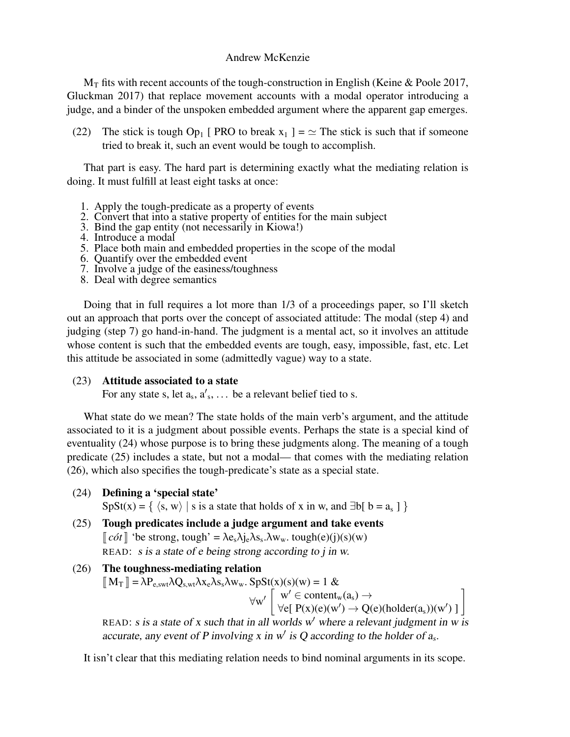### Andrew McKenzie

 $M_T$  fits with recent accounts of the tough-construction in English (Keine & Poole 2017, Gluckman 2017) that replace movement accounts with a modal operator introducing a judge, and a binder of the unspoken embedded argument where the apparent gap emerges.

(22) The stick is tough Op<sub>1</sub> [ PRO to break  $x_1$  ] =  $\simeq$  The stick is such that if someone tried to break it, such an event would be tough to accomplish.

That part is easy. The hard part is determining exactly what the mediating relation is doing. It must fulfill at least eight tasks at once:

- 1. Apply the tough-predicate as a property of events
- 2. Convert that into a stative property of entities for the main subject
- 3. Bind the gap entity (not necessarily in Kiowa!)
- 4. Introduce a modal
- 5. Place both main and embedded properties in the scope of the modal
- 6. Quantify over the embedded event
- 7. Involve a judge of the easiness/toughness
- 8. Deal with degree semantics

Doing that in full requires a lot more than 1/3 of a proceedings paper, so I'll sketch out an approach that ports over the concept of associated attitude: The modal (step 4) and judging (step 7) go hand-in-hand. The judgment is a mental act, so it involves an attitude whose content is such that the embedded events are tough, easy, impossible, fast, etc. Let this attitude be associated in some (admittedly vague) way to a state.

## (23) Attitude associated to a state

For any state s, let  $a_s$ ,  $a'_s$ , ... be a relevant belief tied to s.

What state do we mean? The state holds of the main verb's argument, and the attitude associated to it is a judgment about possible events. Perhaps the state is a special kind of eventuality (24) whose purpose is to bring these judgments along. The meaning of a tough predicate (25) includes a state, but not a modal— that comes with the mediating relation (26), which also specifies the tough-predicate's state as a special state.

(24) Defining a 'special state'

 $SpSt(x) = \{ \langle s, w \rangle \mid s \text{ is a state that holds of } x \text{ in } w, \text{ and } \exists b [ b = a_s ] \}$ 

- (25) Tough predicates include a judge argument and take events  $\llbracket \text{cót} \rrbracket'$  'be strong, tough' =  $\lambda e_s \lambda j_e \lambda s_s \cdot \lambda w_w$ . tough(e)(j)(s)(w) READ: s is a state of e being strong according to j in w.
- (26) The toughness-mediating relation

 $\llbracket M_T \rrbracket = \lambda P_{e,swt} \lambda Q_{s,wt} \lambda x_e \lambda s_s \lambda w_w$ .  $SpSt(x)(s)(w) = 1 \&$  $\forall w' \left[ \begin{array}{c} w' \in \text{content}_w(a_s) \rightarrow \\ \forall s \in \mathbf{D}(w) \land (s) \land (w') \rightarrow \mathbf{O}(w') \end{array} \right]$  $w' \in \text{content}_w(a_s) \rightarrow \forall e[ P(x)(e)(w') \rightarrow Q(e)(\text{holder}(a_s))(w') ]$ 

READ: s is a state of x such that in all worlds  $w'$  where a relevant judgment in w is accurate, any event of P involving x in  $w'$  is Q according to the holder of  $a_s$ .

It isn't clear that this mediating relation needs to bind nominal arguments in its scope.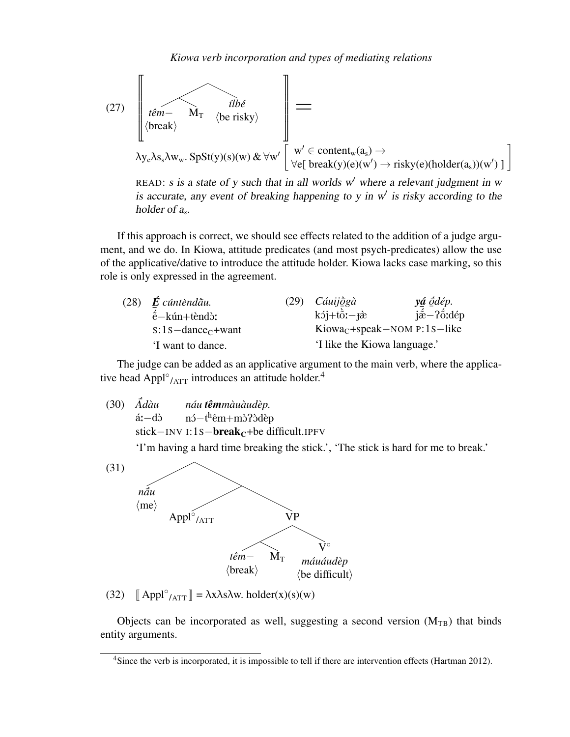

READ: s is a state of y such that in all worlds  $w'$  where a relevant judgment in w is accurate, any event of breaking happening to y in  $w'$  is risky according to the holder of  $a_s$ .

If this approach is correct, we should see effects related to the addition of a judge argument, and we do. In Kiowa, attitude predicates (and most psych-predicates) allow the use of the applicative/dative to introduce the attitude holder. Kiowa lacks case marking, so this role is only expressed in the agreement.

| (28) | $\acute{E}$ cúntèndàu.           | $(29)$ <i>Cáuijogà</i>                  | yá ódép.                                                |
|------|----------------------------------|-----------------------------------------|---------------------------------------------------------|
|      | $\acute{\rm e}-k$ ún+tèndò:      | $k5j+t\ddot{o}z-t\grave{x}$             | $i\acute{\hat{\alpha}}$ - $i\acute{\hat{\alpha}}$ : dép |
|      | $s:1s$ -dance <sub>c</sub> +want | Kiowa <sub>C</sub> +speak-NOM P:1s-like |                                                         |
|      | 'I want to dance.                | 'I like the Kiowa language.'            |                                                         |

The judge can be added as an applicative argument to the main verb, where the applicative head Appl $\degree$ <sub>/ATT</sub> introduces an attitude holder.<sup>4</sup>

 $(30)$   $\tilde{A}d\tilde{a}u$ á:−dò stick−INV I:1s−**break<sub>C</sub>+be** difficult.IPFV *nau´ temˆ mau` aud ` ep. `* nó−t<sup>h</sup>êm+mò?òdèp

'I'm having a hard time breaking the stick.', 'The stick is hard for me to break.'



(32)  $\left[ \text{Appl}^{\circ} /_{\text{ATT}} \right] = \lambda x \lambda s \lambda w. \text{ holder}(x)(s)(w)$ 

Objects can be incorporated as well, suggesting a second version  $(M_{TB})$  that binds entity arguments.

<sup>&</sup>lt;sup>4</sup>Since the verb is incorporated, it is impossible to tell if there are intervention effects (Hartman 2012).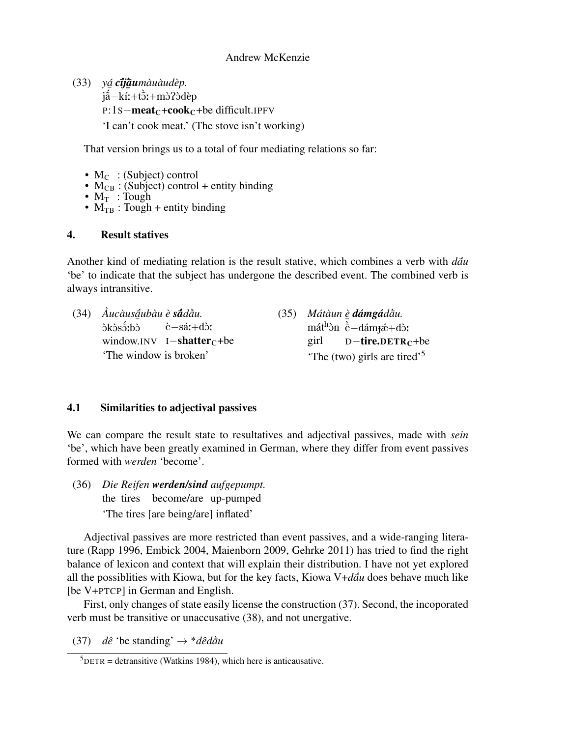(33) *ya´ c*¯´*ıj*¯*a*` *umau` aud ` ep. `* y≌ <del>0 y≧anmananae</del>r<br>já−kí:+tɔ̀:+mɔ̀?ɔ̀dèp P:1S−meat<sub>C</sub>+cook<sub>C</sub>+be difficult.IPFV

'I can't cook meat.' (The stove isn't working)

That version brings us to a total of four mediating relations so far:

- $M_C$ : (Subject) control
- $M_{CB}$ : (Subject) control + entity binding

è−sá:+dò:

- $M_T$ : Tough
- $M_{TB}$ : Tough + entity binding

### 4. Result statives

Another kind of mediating relation is the result stative, which combines a verb with  $d\tilde{a}u$ 'be' to indicate that the subject has undergone the described event. The combined verb is always intransitive.

(34) *Auc ` aus ` a*¯´ *ubau` e` s*¯*a*´*dau.* ¯` n<br>.<br>Dik bis bis bis bis bis bis bis bis sensuit bis sensuit bis sensuit bis sensuit bis sensuit bis sensuit bis s<br>Discriming to the bis sensuit bis sensuit bis sensuit bis sensuit bis sensuit bis sensuit bis sensuit bis se window.INV I**−shatter**<sub>C</sub>+be

*(35) Mátàun è dámgádàu.*  $m\acute{a}t^{h}\acute{b}n \stackrel{e}{\sim} -d\acute{a}m\acute{b}t + d\grave{c}$ girl  $D$ –tire.DETR<sub>C</sub>+be 'The (two) girls are tired'<sup>5</sup>

## 4.1 Similarities to adjectival passives

'The window is broken'

We can compare the result state to resultatives and adjectival passives, made with *sein* 'be', which have been greatly examined in German, where they differ from event passives formed with *werden* 'become'.

(36) *Die Reifen werden/sind aufgepumpt.* the tires become/are up-pumped 'The tires [are being/are] inflated'

Adjectival passives are more restricted than event passives, and a wide-ranging literature (Rapp 1996, Embick 2004, Maienborn 2009, Gehrke 2011) has tried to find the right balance of lexicon and context that will explain their distribution. I have not yet explored all the possiblities with Kiowa, but for the key facts, Kiowa V+ $d\tilde{a}u$  does behave much like [be V+PTCP] in German and English.

First, only changes of state easily license the construction (37). Second, the incoporated verb must be transitive or unaccusative (38), and not unergative.

 $(37)$  *dê* 'be standing'  $\rightarrow$  \**dêdau* 

 $5$ DETR = detransitive (Watkins 1984), which here is anticausative.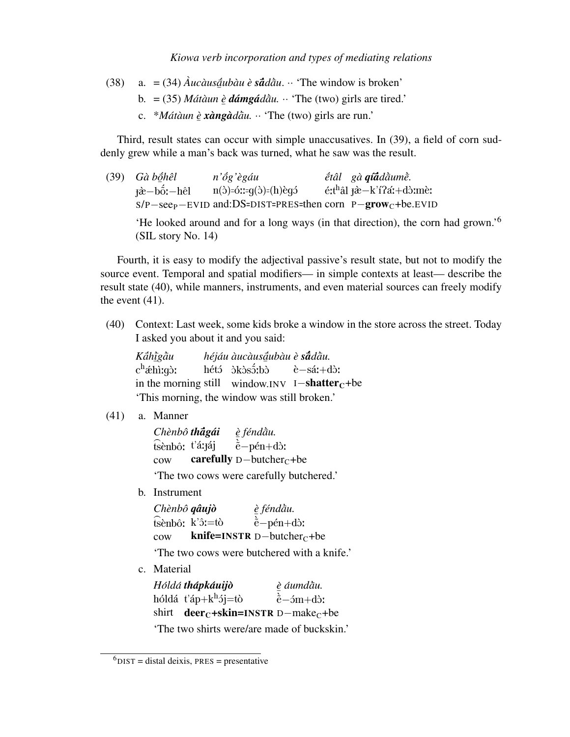#### *Kiowa verb incorporation and types of mediating relations*

- $(38)$  a. =  $(34)$   $\hat{A}$ *ucàus* $\hat{a}$ *ubàu* è **s** $\hat{a}$  $d \hat{a}$ *u*. ·· 'The window is broken'
	- ¯  $b. = (35)$  *Mátàun è dámgádàu*.  $\cdot \cdot$  'The (two) girls are tired.'
	- ¯ c. \**Mat´ aun ` e`* ¯ *xang ` a`dau.* ¯` ·· 'The (two) girls are run.'

Third, result states can occur with simple unaccusatives. In (39), a field of corn suddenly grew while a man's back was turned, what he saw was the result.

(39) *Ga b ` o*¯´ *helˆ* −<br>j<del>à</del>−bố:−hêl S/P−see<sub>P</sub>−EVID and:DS=DIST=PRES=then corn P−**grow**<sub>C</sub>+be.EVID *n'ôg'* ègáu  $n(\delta)$ = $\acute{o}$ ::= $q(\delta)$ = $(h)\grave{e}q\acute{o}$  $\acute{e}$ tâl gà $\bm q$ í $\bm{\tilde{a}}$ dàum $\grave{\bar{e}}$ . éːt<sup>h</sup>âl <del>j</del>à−k'í?áː+dòːmèː

'He looked around and for a long ways (in that direction), the corn had grown.'<sup>6</sup> (SIL story No. 14)

Fourth, it is easy to modify the adjectival passive's result state, but not to modify the source event. Temporal and spatial modifiers— in simple contexts at least— describe the result state (40), while manners, instruments, and even material sources can freely modify the event (41).

(40) Context: Last week, some kids broke a window in the store across the street. Today I asked you about it and you said:

| Káhìgàu                                      | héjáu àucàusāubàu è s <b>ā</b> dāu.          |                                                            |
|----------------------------------------------|----------------------------------------------|------------------------------------------------------------|
| c <sup>h</sup> ǽhìːqòː                       | hétó $\delta$ kòs $\delta$ ;bò è $-s$ á;+dò; |                                                            |
|                                              |                                              | in the morning still window.INV I-shatter <sub>C</sub> +be |
| 'This morning, the window was still broken.' |                                              |                                                            |

(41) a. Manner

| Chènbô thágái   | è féndàu.                               |
|-----------------|-----------------------------------------|
| tsènbô: t'á:jáj | $\v{e}$ -pén+dò:                        |
| $_{\rm{cov}}$   | carefully $D$ -butcher <sub>c</sub> +be |

'The two cows were carefully butchered.'

b. Instrument

| Chènbô qâujò       | è féndàu.                                 |
|--------------------|-------------------------------------------|
| tsènbô: $k$ 'ô:=tò | $\v{e}$ -pén+dò:                          |
| $_{\text{row}}$    | knife=INSTR $D$ -butcher <sub>C</sub> +be |

'The two cows were butchered with a knife.'

c. Material

| Hóldá thápkáuijò                                                   | è áumdāu.                                   |
|--------------------------------------------------------------------|---------------------------------------------|
| hóldá t'áp+k $h$ <sup>j</sup> =tò                                  | $\dot{\tilde{e}}$ -5m+d $\dot{\tilde{o}}$ : |
| shirt <b>deer</b> <sub>C</sub> +skin=INSTR D-make <sub>C</sub> +be |                                             |
| The two electric weeders media of hughesting                       |                                             |

'The two shirts were/are made of buckskin.'

 $<sup>6</sup>$ DIST = distal deixis, PRES = presentative</sup>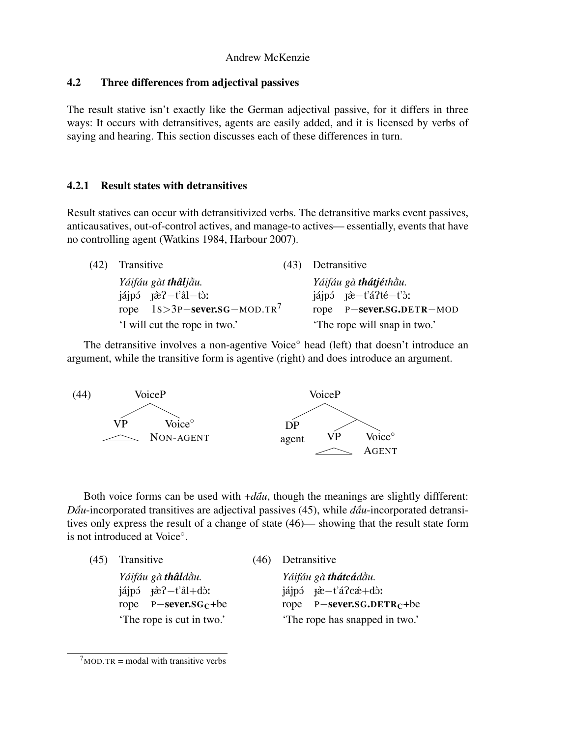## Andrew McKenzie

# 4.2 Three differences from adjectival passives

The result stative isn't exactly like the German adjectival passive, for it differs in three ways: It occurs with detransitives, agents are easily added, and it is licensed by verbs of saying and hearing. This section discusses each of these differences in turn.

# 4.2.1 Result states with detransitives

Result statives can occur with detransitivized verbs. The detransitive marks event passives, anticausatives, out-of-control actives, and manage-to actives— essentially, events that have no controlling agent (Watkins 1984, Harbour 2007).

| (42) | Transitive                                       | (43) | Detransitive                                                                      |
|------|--------------------------------------------------|------|-----------------------------------------------------------------------------------|
|      | Yáifáu gàt thâljāu.                              |      | Yáifáu gà thátjéthầu.                                                             |
|      | $i$ ájpó $\vec{r}$ à?-t'âl-tò:                   |      | $i$ ájpó $\ddot{\text{r}}$ à $-i$ á $\dot{\text{r}}$ té $-i$ ' $\dot{\text{r}}$ : |
|      | rope $1s > 3P$ -sever. SG - MOD. TR <sup>7</sup> |      | rope P-sever.SG.DETR-MOD                                                          |
|      | 'I will cut the rope in two.'                    |      | The rope will snap in two.'                                                       |

The detransitive involves a non-agentive Voice<sup>○</sup> head (left) that doesn't introduce an argument, while the transitive form is agentive (right) and does introduce an argument.



Both voice forms can be used with  $+d\tilde{a}u$ , though the meanings are slightly different: *Dau*-incorporated transitives are adjectival passives (45), while *dau*-incorporated detransitives only express the result of a change of state (46)— showing that the result state form is not introduced at Voice<sup>°</sup>.

| (45) | Transitive                            |  | Detransitive                                            |  |
|------|---------------------------------------|--|---------------------------------------------------------|--|
|      | Yáifáu gà thâldầu.                    |  | Yáifáu gà thátcádàu.                                    |  |
|      | $i$ ájpó $\ddot{x}$ ? – $t$ 'âl + dò: |  | $i$ áipó $\vec{r}$ à $-i$ á $\vec{r}$ cá $\vec{r}$ +dò: |  |
|      | rope $P$ -sever.sG <sub>C</sub> +be   |  | rope $P$ -sever.SG.DETR <sub>C</sub> +be                |  |
|      | The rope is cut in two.'              |  | The rope has snapped in two.'                           |  |

 $7<sub>MOD.TR</sub>$  = modal with transitive verbs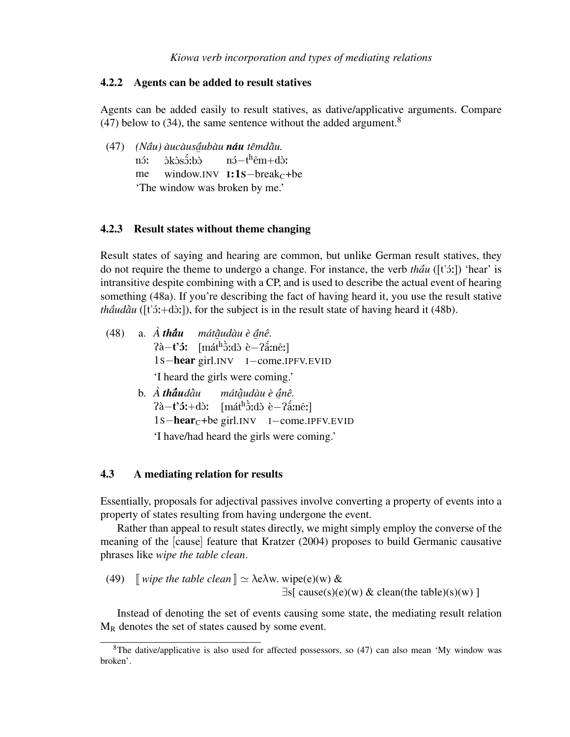### 4.2.2 Agents can be added to result statives

Agents can be added easily to result statives, as dative/applicative arguments. Compare (47) below to (34), the same sentence without the added argument.<sup>8</sup>

(47) *(Náu) àucàus<u>á</u>ubàu náu têmdàu.*  $n\acute{o}$ me ........<u>..</u>.<br>òkòsɔ̃ːbò window.INV  $I:1S-break_C+be$ nó−t<sup>h</sup>êm+dò: 'The window was broken by me.'

#### 4.2.3 Result states without theme changing

Result states of saying and hearing are common, but unlike German result statives, they do not require the theme to undergo a change. For instance, the verb *thau* ([t'3:]) 'hear' is intransitive despite combining with a CP, and is used to describe the actual event of hearing something (48a). If you're describing the fact of having heard it, you use the result stative *tháudàu* ( $[t'3;+d3;]$ ), for the subject is in the result state of having heard it (48b).

|  | $(48)$ a. $\hat{A}$ that máta and $\hat{a}$ nê.                                                                      |
|--|----------------------------------------------------------------------------------------------------------------------|
|  | $\hat{\mathbf{a}} - \mathbf{t}'$ <sup>3</sup> : [mát <sup>h</sup> $\hat{\mathbf{c}}$ :dò è- $\hat{\mathbf{a}}$ :nê:] |
|  | 1s-hear girl.INV I-come.IPFV.EVID                                                                                    |
|  | 'I heard the girls were coming.'                                                                                     |
|  | b. À thâudầu mátầudàu è ánê.                                                                                         |
|  | $2a-t'$ <b>5</b> :+dò: $[\text{mát}^h\text{ðid}^{\dagger}\text{è}-2\text{á}^{\dagger}\text{mê}^{\dagger}]$           |
|  | $1s$ -hear <sub>c</sub> +be girl.INV I-come.IPFV.EVID                                                                |
|  | 'I have/had heard the girls were coming.'                                                                            |

#### 4.3 A mediating relation for results

Essentially, proposals for adjectival passives involve converting a property of events into a property of states resulting from having undergone the event.

Rather than appeal to result states directly, we might simply employ the converse of the meaning of the [cause] feature that Kratzer (2004) proposes to build Germanic causative phrases like *wipe the table clean*.

(49) [*wire the table clean*] 
$$
\simeq
$$
  $\lambda$ e $\lambda$ w.  $\text{wire}(e)(w) \& \exists s[ \text{ cause}(s)(e)(w) \& \text{clean(the table})(s)(w) ]$ 

Instead of denoting the set of events causing some state, the mediating result relation  $M_R$  denotes the set of states caused by some event.

<sup>&</sup>lt;sup>8</sup>The dative/applicative is also used for affected possessors, so (47) can also mean 'My window was broken'.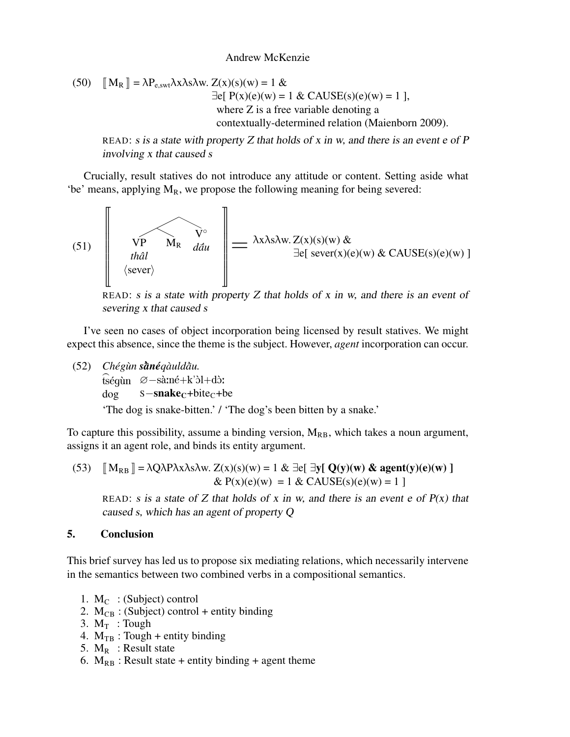#### Andrew McKenzie

(50) 
$$
\llbracket M_R \rrbracket = \lambda P_{e, \text{swt}} \lambda x \lambda s \lambda w. Z(x)(s)(w) = 1 \& \exists e \llbracket P(x)(e)(w) = 1 \& CAUSE(s)(e)(w) = 1 \},
$$
\nwhere Z is a free variable denoting a  
\ncontextually-determined relation (Maienborn 2009).

READ: s is a state with property  $Z$  that holds of  $x$  in  $w$ , and there is an event  $e$  of  $P$ involving x that caused s

Crucially, result statives do not introduce any attitude or content. Setting aside what 'be' means, applying  $M_R$ , we propose the following meaning for being severed:

(51) u w w w w w w v VP *thalˆ* hseveri M<sup>R</sup> V ◦ *dau*¯´ } ~ = <sup>λ</sup>xλsλw. Z(x)(s)(w) & ∃e[ sever(x)(e)(w) & CAUSE(s)(e)(w) ]

READ: s is a state with property  $Z$  that holds of  $x$  in  $w$ , and there is an event of severing x that caused s

I've seen no cases of object incorporation being licensed by result statives. We might expect this absence, since the theme is the subject. However, *agent* incorporation can occur.

(52) *Cheg´ un` s*¯*an*` *e´qauld ` au.* ¯`

vnegan saneqamaan.<br>tségùn ∅−sà:né+k'òl+dò:

dog  $s$ −snake<sub>C</sub>+bite<sub>C</sub>+be

'The dog is snake-bitten.' / 'The dog's been bitten by a snake.'

To capture this possibility, assume a binding version,  $M_{RB}$ , which takes a noun argument, assigns it an agent role, and binds its entity argument.

(53) 
$$
\llbracket M_{RB} \rrbracket = \lambda Q \lambda P \lambda x \lambda s \lambda w. Z(x)(s)(w) = 1 & \exists e \llbracket \exists y \llbracket Q(y)(w) & \text{agent}(y)(e)(w) \rrbracket
$$

$$
& P(x)(e)(w) = 1 & \& CAUSE(s)(e)(w) = 1 \rrbracket
$$

READ: s is a state of Z that holds of x in w, and there is an event e of  $P(x)$  that caused s, which has an agent of property Q

### 5. Conclusion

This brief survey has led us to propose six mediating relations, which necessarily intervene in the semantics between two combined verbs in a compositional semantics.

- 1.  $M_C$ : (Subject) control
- 2.  $M_{CB}$  : (Subject) control + entity binding
- 3.  $M_T$  : Tough
- 4.  $M_{TR}$ : Tough + entity binding
- 5.  $M_R$  : Result state
- 6.  $M_{RB}$ : Result state + entity binding + agent theme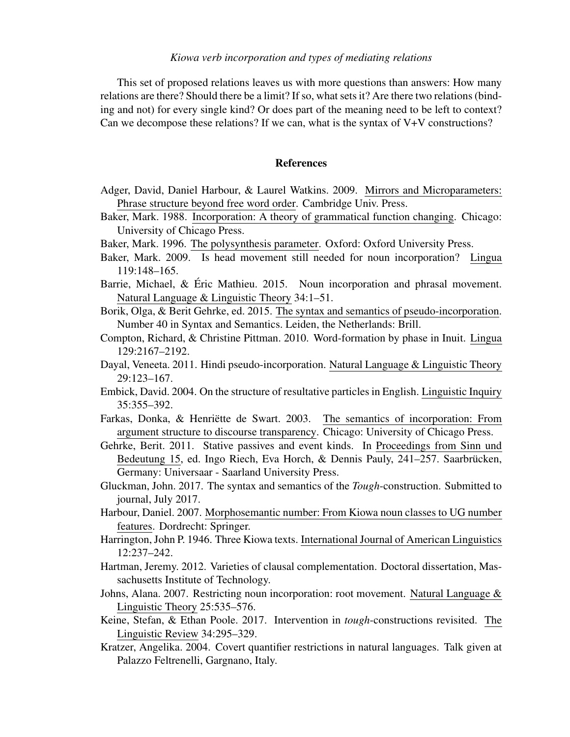#### *Kiowa verb incorporation and types of mediating relations*

This set of proposed relations leaves us with more questions than answers: How many relations are there? Should there be a limit? If so, what sets it? Are there two relations (binding and not) for every single kind? Or does part of the meaning need to be left to context? Can we decompose these relations? If we can, what is the syntax of V+V constructions?

### References

- Adger, David, Daniel Harbour, & Laurel Watkins. 2009. Mirrors and Microparameters: Phrase structure beyond free word order. Cambridge Univ. Press.
- Baker, Mark. 1988. Incorporation: A theory of grammatical function changing. Chicago: University of Chicago Press.
- Baker, Mark. 1996. The polysynthesis parameter. Oxford: Oxford University Press.
- Baker, Mark. 2009. Is head movement still needed for noun incorporation? Lingua 119:148–165.
- Barrie, Michael, & Éric Mathieu. 2015. Noun incorporation and phrasal movement. Natural Language & Linguistic Theory 34:1–51.
- Borik, Olga, & Berit Gehrke, ed. 2015. The syntax and semantics of pseudo-incorporation. Number 40 in Syntax and Semantics. Leiden, the Netherlands: Brill.
- Compton, Richard, & Christine Pittman. 2010. Word-formation by phase in Inuit. Lingua 129:2167–2192.
- Dayal, Veneeta. 2011. Hindi pseudo-incorporation. Natural Language & Linguistic Theory 29:123–167.
- Embick, David. 2004. On the structure of resultative particles in English. Linguistic Inquiry 35:355–392.
- Farkas, Donka, & Henriëtte de Swart. 2003. The semantics of incorporation: From argument structure to discourse transparency. Chicago: University of Chicago Press.
- Gehrke, Berit. 2011. Stative passives and event kinds. In Proceedings from Sinn und Bedeutung 15, ed. Ingo Riech, Eva Horch, & Dennis Pauly, 241–257. Saarbrücken, Germany: Universaar - Saarland University Press.
- Gluckman, John. 2017. The syntax and semantics of the *Tough*-construction. Submitted to journal, July 2017.
- Harbour, Daniel. 2007. Morphosemantic number: From Kiowa noun classes to UG number features. Dordrecht: Springer.
- Harrington, John P. 1946. Three Kiowa texts. International Journal of American Linguistics 12:237–242.
- Hartman, Jeremy. 2012. Varieties of clausal complementation. Doctoral dissertation, Massachusetts Institute of Technology.
- Johns, Alana. 2007. Restricting noun incorporation: root movement. Natural Language & Linguistic Theory 25:535–576.
- Keine, Stefan, & Ethan Poole. 2017. Intervention in *tough*-constructions revisited. The Linguistic Review 34:295–329.
- Kratzer, Angelika. 2004. Covert quantifier restrictions in natural languages. Talk given at Palazzo Feltrenelli, Gargnano, Italy.